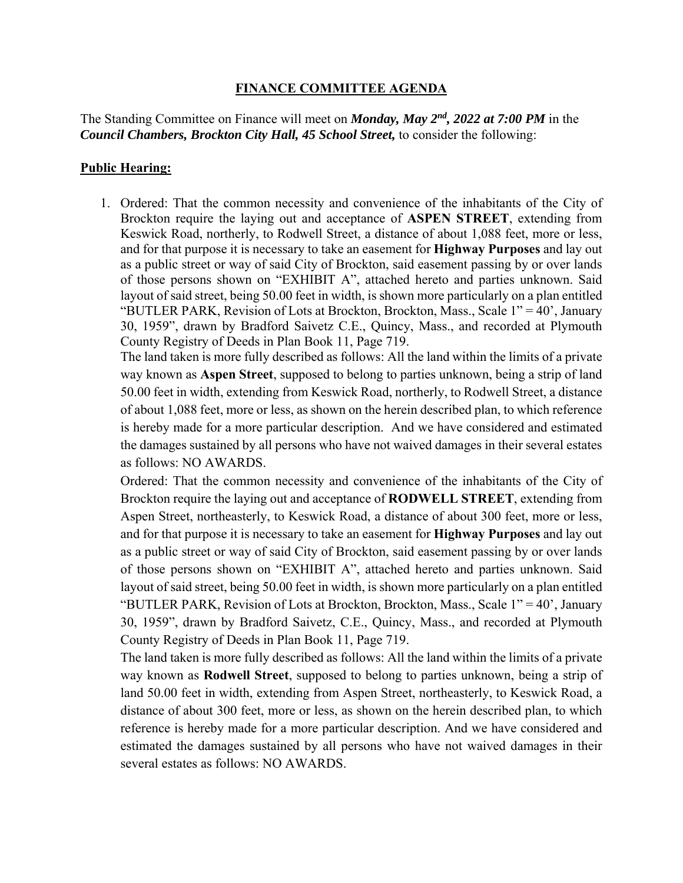## **FINANCE COMMITTEE AGENDA**

The Standing Committee on Finance will meet on *Monday, May 2nd, 2022 at 7:00 PM* in the *Council Chambers, Brockton City Hall, 45 School Street,* to consider the following:

## **Public Hearing:**

 layout of said street, being 50.00 feet in width, is shown more particularly on a plan entitled 1. Ordered: That the common necessity and convenience of the inhabitants of the City of Brockton require the laying out and acceptance of **ASPEN STREET**, extending from Keswick Road, northerly, to Rodwell Street, a distance of about 1,088 feet, more or less, and for that purpose it is necessary to take an easement for **Highway Purposes** and lay out as a public street or way of said City of Brockton, said easement passing by or over lands of those persons shown on "EXHIBIT A", attached hereto and parties unknown. Said "BUTLER PARK, Revision of Lots at Brockton, Brockton, Mass., Scale 1" = 40', January 30, 1959", drawn by Bradford Saivetz C.E., Quincy, Mass., and recorded at Plymouth County Registry of Deeds in Plan Book 11, Page 719.

The land taken is more fully described as follows: All the land within the limits of a private way known as **Aspen Street**, supposed to belong to parties unknown, being a strip of land 50.00 feet in width, extending from Keswick Road, northerly, to Rodwell Street, a distance of about 1,088 feet, more or less, as shown on the herein described plan, to which reference is hereby made for a more particular description. And we have considered and estimated the damages sustained by all persons who have not waived damages in their several estates as follows: NO AWARDS.

 layout of said street, being 50.00 feet in width, is shown more particularly on a plan entitled Ordered: That the common necessity and convenience of the inhabitants of the City of Brockton require the laying out and acceptance of **RODWELL STREET**, extending from Aspen Street, northeasterly, to Keswick Road, a distance of about 300 feet, more or less, and for that purpose it is necessary to take an easement for **Highway Purposes** and lay out as a public street or way of said City of Brockton, said easement passing by or over lands of those persons shown on "EXHIBIT A", attached hereto and parties unknown. Said "BUTLER PARK, Revision of Lots at Brockton, Brockton, Mass., Scale 1" = 40', January 30, 1959", drawn by Bradford Saivetz, C.E., Quincy, Mass., and recorded at Plymouth County Registry of Deeds in Plan Book 11, Page 719.

 reference is hereby made for a more particular description. And we have considered and The land taken is more fully described as follows: All the land within the limits of a private way known as **Rodwell Street**, supposed to belong to parties unknown, being a strip of land 50.00 feet in width, extending from Aspen Street, northeasterly, to Keswick Road, a distance of about 300 feet, more or less, as shown on the herein described plan, to which estimated the damages sustained by all persons who have not waived damages in their several estates as follows: NO AWARDS.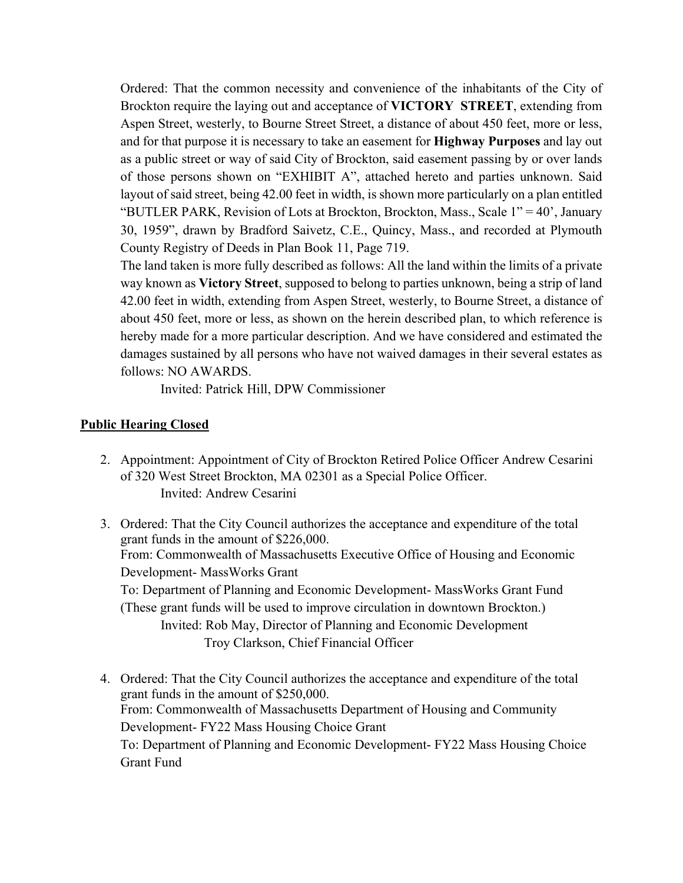layout of said street, being 42.00 feet in width, is shown more particularly on a plan entitled Ordered: That the common necessity and convenience of the inhabitants of the City of Brockton require the laying out and acceptance of **VICTORY STREET**, extending from Aspen Street, westerly, to Bourne Street Street, a distance of about 450 feet, more or less, and for that purpose it is necessary to take an easement for **Highway Purposes** and lay out as a public street or way of said City of Brockton, said easement passing by or over lands of those persons shown on "EXHIBIT A", attached hereto and parties unknown. Said "BUTLER PARK, Revision of Lots at Brockton, Brockton, Mass., Scale 1" = 40', January 30, 1959", drawn by Bradford Saivetz, C.E., Quincy, Mass., and recorded at Plymouth County Registry of Deeds in Plan Book 11, Page 719.

The land taken is more fully described as follows: All the land within the limits of a private way known as **Victory Street**, supposed to belong to parties unknown, being a strip of land 42.00 feet in width, extending from Aspen Street, westerly, to Bourne Street, a distance of about 450 feet, more or less, as shown on the herein described plan, to which reference is hereby made for a more particular description. And we have considered and estimated the damages sustained by all persons who have not waived damages in their several estates as follows: NO AWARDS.

Invited: Patrick Hill, DPW Commissioner

## **Public Hearing Closed**

- 2. Appointment: Appointment of City of Brockton Retired Police Officer Andrew Cesarini of 320 West Street Brockton, MA 02301 as a Special Police Officer. Invited: Andrew Cesarini
- 3. Ordered: That the City Council authorizes the acceptance and expenditure of the total grant funds in the amount of \$226,000. From: Commonwealth of Massachusetts Executive Office of Housing and Economic Development- MassWorks Grant To: Department of Planning and Economic Development- MassWorks Grant Fund (These grant funds will be used to improve circulation in downtown Brockton.) Invited: Rob May, Director of Planning and Economic Development Troy Clarkson, Chief Financial Officer
- 4. Ordered: That the City Council authorizes the acceptance and expenditure of the total grant funds in the amount of \$250,000. From: Commonwealth of Massachusetts Department of Housing and Community Development- FY22 Mass Housing Choice Grant To: Department of Planning and Economic Development- FY22 Mass Housing Choice Grant Fund